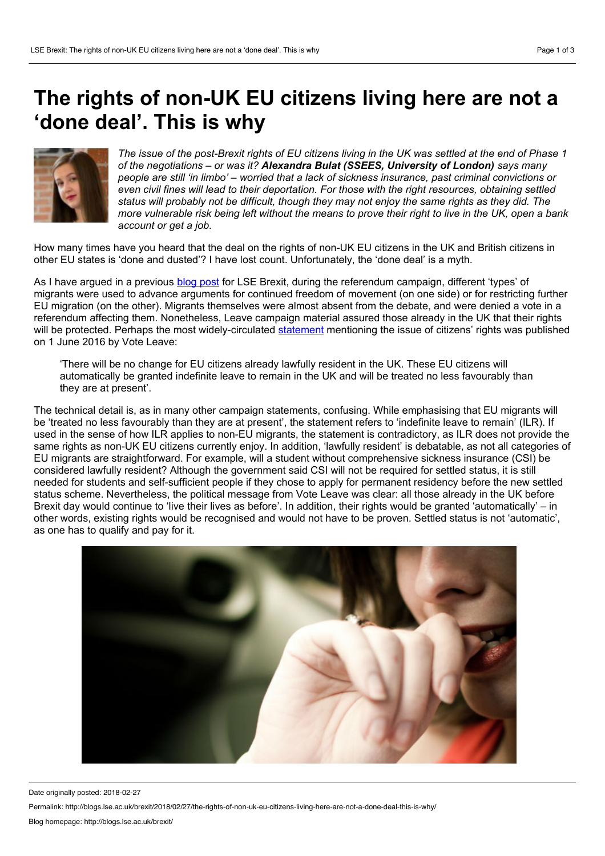## **The rights of non-UK EU citizens living here are not a 'done deal'. This is why**

The issue of the post-Brexit rights of EU citizens living in the UK was settled at the end of Phase 1 *of the negotiations – or was it? Alexandra Bulat (SSEES, University of London) says many people are still 'in limbo' – worried thata lack of sickness insurance, past criminal convictions or even civil fines will lead to their deportation. For those with the right resources, obtaining settled status will probably not be difficult, though they may not enjoy the same rights as they did. The* more vulnerable risk being left without the means to prove their right to live in the UK, open a bank *account or get a job.*

How many times have you heard that the deal on the rights of non-UK EU citizens in the UK and British citizens in other EU states is 'done and dusted'? I have lost count. Unfortunately, the 'done deal'is a myth.

As I have argued in a previous blog [post](http://blogs.lse.ac.uk/brexit/2017/09/15/the-brightest-and-best-us-and-the-rest-desirable-and-undesirable-migration-in-eu-referendum-leaflets/) for LSE Brexit, during the referendum campaign, different 'types' of migrants were used to advance arguments for continued freedom of movement (on one side) or for restricting further EU migration (on the other). Migrants themselves were almost absent from the debate, and were denied a vote in a referendum affecting them. Nonetheless, Leave campaign material assured those already in the UK that their rights will be protected. Perhaps the most widely-circulated [statement](http://www.voteleavetakecontrol.org/restoring_public_trust_in_immigration_policy_a_points_based_non_discriminatory_immigration_system.html) mentioning the issue of citizens' rights was published on 1 June 2016 by Vote Leave:

'There will be no change for EU citizens already lawfully resident in the UK. These EU citizens will automatically be granted indefinite leave to remain in the UK and will be treated no less favourably than they are at present'.

The technical detail is, as in many other campaign statements, confusing. While emphasising that EU migrants will be 'treated no less favourably than they are at present', the statement refers to 'indefinite leave to remain' (ILR). If used in the sense of how ILR applies to non-EU migrants, the statement is contradictory, as ILR does not provide the same rights as non-UK EU citizens currently enjoy. In addition, 'lawfully resident' is debatable, as not all categories of EU migrants are straightforward. For example, will a student without comprehensive sickness insurance (CSI) be considered lawfully resident? Although the government said CSI will not be required for settled status, it is still needed for students and self-sufficient people if they chose to apply for permanent residency before the new settled status scheme. Nevertheless, the political message from Vote Leave was clear: all those already in the UK before Brexit day would continue to 'live their lives as before'. In addition, their rights would be granted 'automatically' – in other words, existing rights would be recognised and would not have to be proven. Settled status is not'automatic', as one has to qualify and pay for it.



Date originally posted: 2018-02-27

Permalink: http://blogs.lse.ac.uk/brexit/2018/02/27/the-rights-of-non-uk-eu-citizens-living-here-are-not-a-done-deal-this-is-why/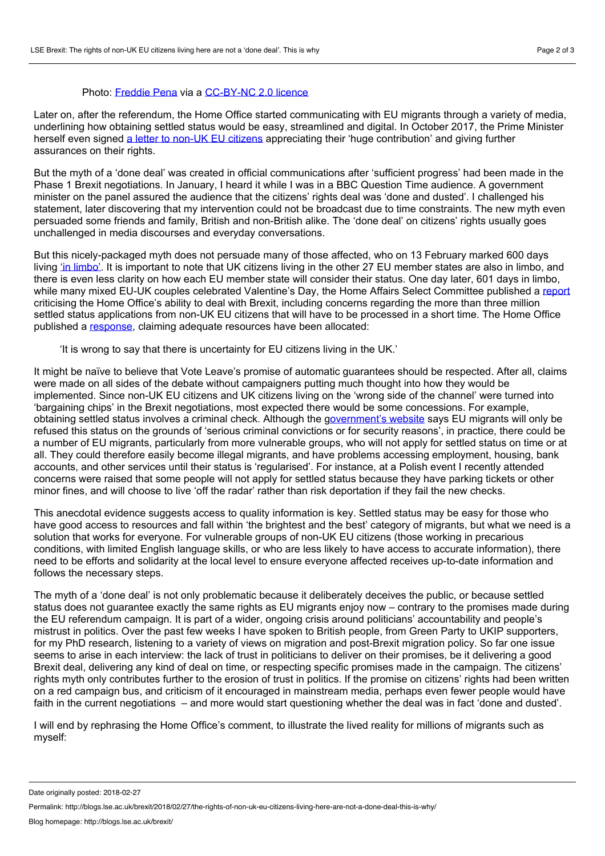## Photo: [Freddie](https://www.flickr.com/photos/fixem/4815843665/in/photolist-8kysxk-WpWPwC-cABt8S-TZoMNF-bDboxA-6y6J2G-WETVak-535Za7-byoba-5sVCu7-RDqZKR-6fe4DQ-5zwr6g-mTJGE-aetWQm-mvvZek-9c7aAa-9bVBCn-izkXAT-bh8FLv-79SjU2-dmp1uc-JTAHAv-627WfM-Tseeh1-WBiZuQ-d39Npj-WESYGT-VrpRNk-ek6Ms4-9qftNi-9oY7iy-bqchtg-2oKy9-WtjjSF-ARDE-jmHqq-VoHxxq-8utLBd-6ECDRA-mYmKM-7a8KNC-TiHj9r-9Mu4xi-JQPVow-jmHqs-nz4yBt-4WZgoi-VroYqk-j1m2zy) Pena via a [CC-BY-NC](https://creativecommons.org/licenses/by-nc/2.0/) 2.0 licence

Later on, after the referendum, the Home Office started communicating with EU migrants through a variety of media, underlining how obtaining settled status would be easy, streamlined and digital. In October 2017, the Prime Minister herself even signed a letter to [non-UK](https://www.gov.uk/government/news/pms-open-letter-to-eu-citizens-in-the-uk) EU citizens appreciating their 'huge contribution' and giving further assurances on their rights.

But the myth of a 'done deal'was created in official communications after 'sufficient progress' had been made in the Phase 1 Brexit negotiations. In January, I heard it while I was in a BBC Question Time audience. A government minister on the panel assured the audience that the citizens' rights deal was 'done and dusted'. I challenged his statement, later discovering that my intervention could not be broadcast due to time constraints. The new myth even persuaded some friends and family, British and non-British alike. The 'done deal' on citizens' rights usually goes unchallenged in media discourses and everyday conversations.

But this nicely-packaged myth does not persuade many of those affected, who on 13 February marked 600 days living 'in [limbo'](https://www.amazon.co.uk/Limbo-Brexit-testimonies-EU-citizens/dp/1548026085). It is important to note that UK citizens living in the other 27 EU member states are also in limbo, and there is even less clarity on how each EU member state will consider their status. One day later, 601 days in limbo, while many mixed EU-UK couples celebrated Valentine's Day, the Home Affairs Select Committee published a [report](https://publications.parliament.uk/pa/cm201719/cmselect/cmhaff/421/42102.htm) criticising the Home Office's ability to deal with Brexit, including concerns regarding the more than three million settled status applications from non-UK EU citizens that will have to be processed in a short time. The Home Office published a [response](https://homeofficemedia.blog.gov.uk/2018/02/14/response-to-the-home-affairs-select-committee-report-on-brexit-preparations/), claiming adequate resources have been allocated:

'It is wrong to say that there is uncertainty for EU citizens living in the UK.'

It might be naïve to believe that Vote Leave's promise of automatic guarantees should be respected. After all, claims were made on all sides of the debate without campaigners putting much thought into how they would be implemented. Since non-UK EU citizens and UK citizens living on the 'wrong side of the channel' were turned into 'bargaining chips' in the Brexit negotiations, most expected there would be some concessions. For example, obtaining settled status involves a criminal check. Although the g[overnment's](https://www.gov.uk/guidance/status-of-eu-nationals-in-the-uk-what-you-need-to-know) website says EU migrants will only be refused this status on the grounds of 'serious criminal convictions or for security reasons', in practice, there could be a number of EU migrants, particularly from more vulnerable groups, who will not apply for settled status on time or at all. They could therefore easily become illegal migrants, and have problems accessing employment, housing, bank accounts, and other services until their status is 'regularised'. For instance, at a Polish event I recently attended concerns were raised that some people will not apply for settled status because they have parking tickets or other minor fines, and will choose to live 'off the radar' rather than risk deportation if they fail the new checks.

This anecdotal evidence suggests access to quality information is key. Settled status may be easy for those who have good access to resources and fall within 'the brightest and the best'category of migrants, but what we need is a solution that works for everyone. For vulnerable groups of non-UK EU citizens (those working in precarious conditions, with limited English language skills, or who are less likely to have access to accurate information), there need to be efforts and solidarity at the local level to ensure everyone affected receives up-to-date information and follows the necessary steps.

The myth of a 'done deal' is not only problematic because it deliberately deceives the public, or because settled status does not quarantee exactly the same rights as EU migrants enjoy now – contrary to the promises made during the EU referendum campaign. It is part of a wider, ongoing crisis around politicians' accountability and people's mistrust in politics. Over the past few weeks I have spoken to British people, from Green Party to UKIP supporters, for my PhD research, listening to a variety of views on migration and post-Brexit migration policy. So far one issue seems to arise in each interview: the lack of trust in politicians to deliver on their promises, be it delivering a good Brexit deal, delivering any kind of deal on time, or respecting specific promises made in the campaign. The citizens' rights myth only contributes further to the erosion of trust in politics. If the promise on citizens' rights had been written on a red campaign bus, and criticism of it encouraged in mainstream media, perhaps even fewer people would have faith in the current negotiations – and more would start questioning whether the deal was in fact 'done and dusted'.

I will end by rephrasing the Home Office's comment, to illustrate the lived reality for millions of migrants such as myself:

Date originally posted: 2018-02-27

Permalink: http://blogs.lse.ac.uk/brexit/2018/02/27/the-rights-of-non-uk-eu-citizens-living-here-are-not-a-done-deal-this-is-why/